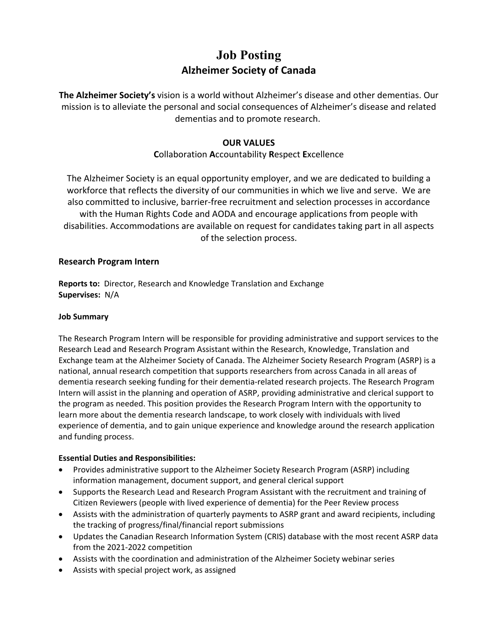# **Job Posting Alzheimer Society of Canada**

**The Alzheimer Society's** vision is a world without Alzheimer's disease and other dementias. Our mission is to alleviate the personal and social consequences of Alzheimer's disease and related dementias and to promote research.

# **OUR VALUES**

# **C**ollaboration **A**ccountability **R**espect **E**xcellence

The Alzheimer Society is an equal opportunity employer, and we are dedicated to building a workforce that reflects the diversity of our communities in which we live and serve. We are also committed to inclusive, barrier-free recruitment and selection processes in accordance with the Human Rights Code and AODA and encourage applications from people with disabilities. Accommodations are available on request for candidates taking part in all aspects of the selection process.

### **Research Program Intern**

**Reports to:** Director, Research and Knowledge Translation and Exchange **Supervises:** N/A

#### **Job Summary**

The Research Program Intern will be responsible for providing administrative and support services to the Research Lead and Research Program Assistant within the Research, Knowledge, Translation and Exchange team at the Alzheimer Society of Canada. The Alzheimer Society Research Program (ASRP) is a national, annual research competition that supports researchers from across Canada in all areas of dementia research seeking funding for their dementia-related research projects. The Research Program Intern will assist in the planning and operation of ASRP, providing administrative and clerical support to the program as needed. This position provides the Research Program Intern with the opportunity to learn more about the dementia research landscape, to work closely with individuals with lived experience of dementia, and to gain unique experience and knowledge around the research application and funding process.

#### **Essential Duties and Responsibilities:**

- Provides administrative support to the Alzheimer Society Research Program (ASRP) including information management, document support, and general clerical support
- Supports the Research Lead and Research Program Assistant with the recruitment and training of Citizen Reviewers (people with lived experience of dementia) for the Peer Review process
- Assists with the administration of quarterly payments to ASRP grant and award recipients, including the tracking of progress/final/financial report submissions
- Updates the Canadian Research Information System (CRIS) database with the most recent ASRP data from the 2021-2022 competition
- Assists with the coordination and administration of the Alzheimer Society webinar series
- Assists with special project work, as assigned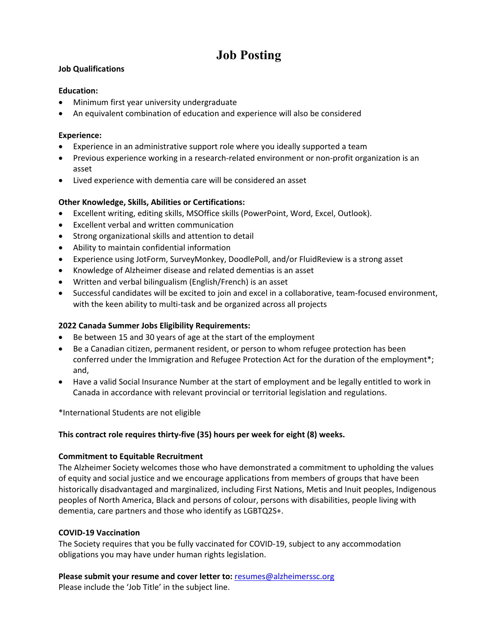# **Job Posting**

#### **Job Qualifications**

#### **Education:**

- Minimum first year university undergraduate
- An equivalent combination of education and experience will also be considered

#### **Experience:**

- Experience in an administrative support role where you ideally supported a team
- Previous experience working in a research-related environment or non-profit organization is an asset
- Lived experience with dementia care will be considered an asset

#### **Other Knowledge, Skills, Abilities or Certifications:**

- Excellent writing, editing skills, MSOffice skills (PowerPoint, Word, Excel, Outlook).
- Excellent verbal and written communication
- Strong organizational skills and attention to detail
- Ability to maintain confidential information
- Experience using JotForm, SurveyMonkey, DoodlePoll, and/or FluidReview is a strong asset
- Knowledge of Alzheimer disease and related dementias is an asset
- Written and verbal bilingualism (English/French) is an asset
- Successful candidates will be excited to join and excel in a collaborative, team-focused environment, with the keen ability to multi-task and be organized across all projects

### **2022 Canada Summer Jobs Eligibility Requirements:**

- Be between 15 and 30 years of age at the start of the employment
- Be a Canadian citizen, permanent resident, or person to whom refugee protection has been conferred under the Immigration and Refugee Protection Act for the duration of the employment\*; and,
- Have a valid Social Insurance Number at the start of employment and be legally entitled to work in Canada in accordance with relevant provincial or territorial legislation and regulations.

\*International Students are not eligible

#### **This contract role requires thirty-five (35) hours per week for eight (8) weeks.**

#### **Commitment to Equitable Recruitment**

The Alzheimer Society welcomes those who have demonstrated a commitment to upholding the values of equity and social justice and we encourage applications from members of groups that have been historically disadvantaged and marginalized, including First Nations, Metis and Inuit peoples, Indigenous peoples of North America, Black and persons of colour, persons with disabilities, people living with dementia, care partners and those who identify as LGBTQ2S+.

#### **COVID-19 Vaccination**

The Society requires that you be fully vaccinated for COVID-19, subject to any accommodation obligations you may have under human rights legislation.

**Please submit your resume and cover letter to:** [resumes@alzheimerssc.org](mailto:resumes@alzheimerssc.org) Please include the 'Job Title' in the subject line.